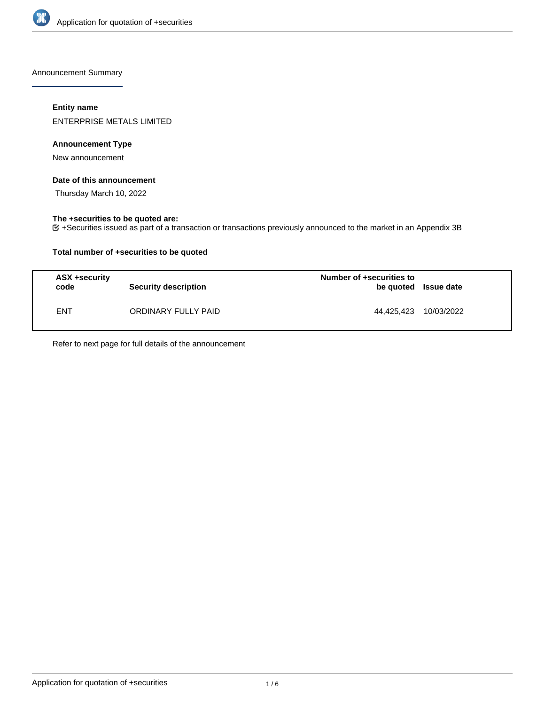

Announcement Summary

## **Entity name**

ENTERPRISE METALS LIMITED

## **Announcement Type**

New announcement

### **Date of this announcement**

Thursday March 10, 2022

## **The +securities to be quoted are:**

+Securities issued as part of a transaction or transactions previously announced to the market in an Appendix 3B

## **Total number of +securities to be quoted**

| ASX +security<br>code | <b>Security description</b> | Number of +securities to<br>be quoted Issue date |            |
|-----------------------|-----------------------------|--------------------------------------------------|------------|
| <b>ENT</b>            | ORDINARY FULLY PAID         | 44.425.423                                       | 10/03/2022 |

Refer to next page for full details of the announcement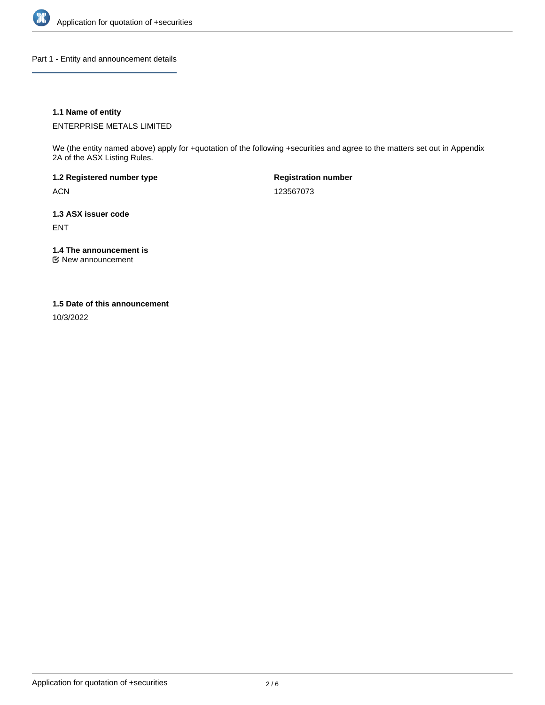

Part 1 - Entity and announcement details

## **1.1 Name of entity**

ENTERPRISE METALS LIMITED

We (the entity named above) apply for +quotation of the following +securities and agree to the matters set out in Appendix 2A of the ASX Listing Rules.

**1.2 Registered number type** ACN

**Registration number** 123567073

**1.3 ASX issuer code** ENT

**1.4 The announcement is**

New announcement

#### **1.5 Date of this announcement**

10/3/2022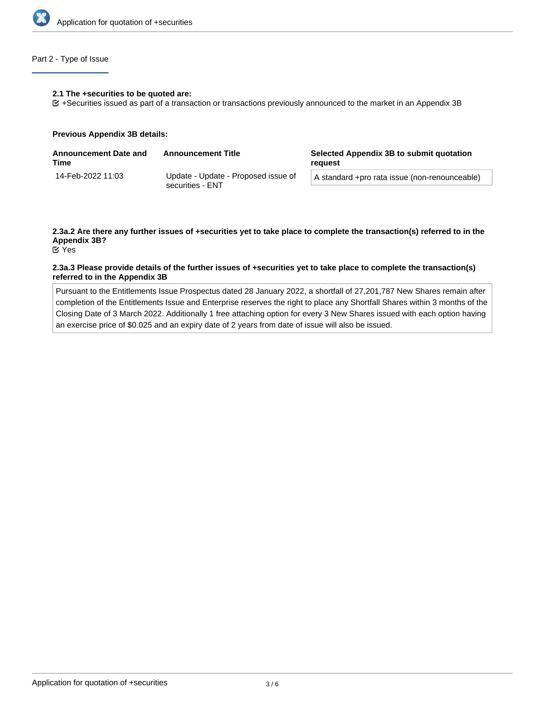

## Part 2 - Type of Issue

#### **2.1 The +securities to be quoted are:**

+Securities issued as part of a transaction or transactions previously announced to the market in an Appendix 3B

#### **Previous Appendix 3B details:**

| <b>Announcement Date and</b><br>Time | <b>Announcement Title</b>                               | Selected Appendix 3B to submit quotation<br>reguest |
|--------------------------------------|---------------------------------------------------------|-----------------------------------------------------|
| 14-Feb-2022 11:03                    | Update - Update - Proposed issue of<br>securities - ENT | A standard +pro rata issue (non-renounceable)       |

# **2.3a.2 Are there any further issues of +securities yet to take place to complete the transaction(s) referred to in the Appendix 3B?**

Yes

### **2.3a.3 Please provide details of the further issues of +securities yet to take place to complete the transaction(s) referred to in the Appendix 3B**

Pursuant to the Entitlements Issue Prospectus dated 28 January 2022, a shortfall of 27,201,787 New Shares remain after completion of the Entitlements Issue and Enterprise reserves the right to place any Shortfall Shares within 3 months of the Closing Date of 3 March 2022. Additionally 1 free attaching option for every 3 New Shares issued with each option having an exercise price of \$0.025 and an expiry date of 2 years from date of issue will also be issued.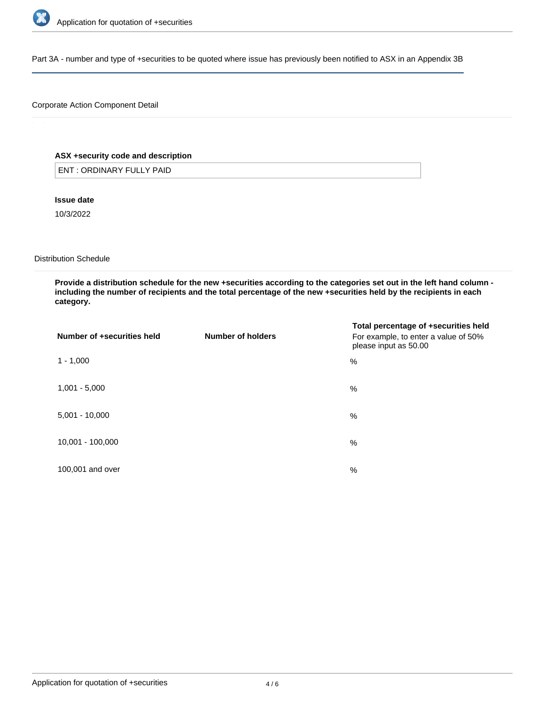

Part 3A - number and type of +securities to be quoted where issue has previously been notified to ASX in an Appendix 3B

## Corporate Action Component Detail

## **ASX +security code and description**

ENT : ORDINARY FULLY PAID

**Issue date**

10/3/2022

Distribution Schedule

**Provide a distribution schedule for the new +securities according to the categories set out in the left hand column including the number of recipients and the total percentage of the new +securities held by the recipients in each category.**

| Number of +securities held | Number of holders | Total percentage of +securities held<br>For example, to enter a value of 50%<br>please input as 50.00 |
|----------------------------|-------------------|-------------------------------------------------------------------------------------------------------|
| $1 - 1,000$                |                   | %                                                                                                     |
| $1,001 - 5,000$            |                   | %                                                                                                     |
| $5,001 - 10,000$           |                   | %                                                                                                     |
| 10,001 - 100,000           |                   | %                                                                                                     |
| 100,001 and over           |                   | $\%$                                                                                                  |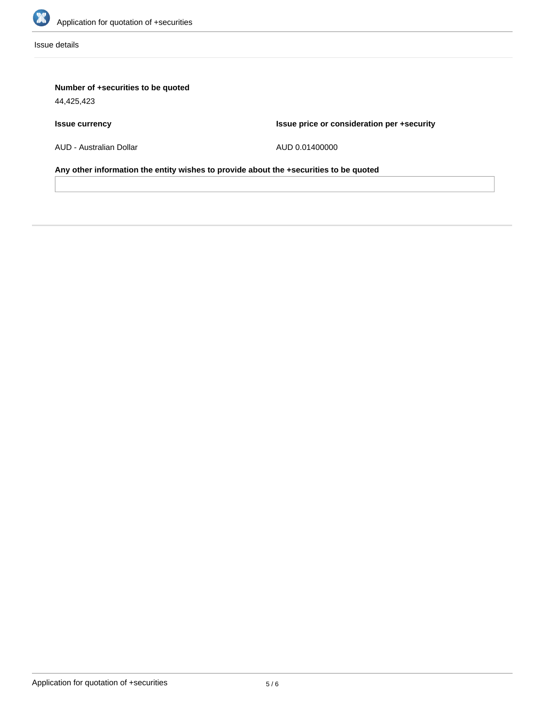

Issue details

# **Number of +securities to be quoted**

44,425,423

# **Issue currency**

**Issue price or consideration per +security**

AUD - Australian Dollar

AUD 0.01400000

**Any other information the entity wishes to provide about the +securities to be quoted**